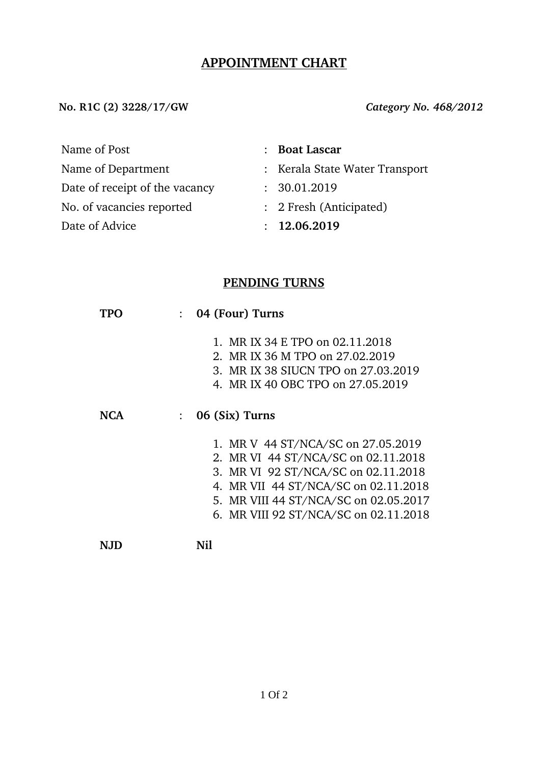# **APPOINTMENT CHART**

**No. R1C (2) 3228/17/GW** *Category No. 468/2012*

Name of Post **: Boat Lascar** 

Date of receipt of the vacancy : 30.01.2019

No. of vacancies reported : 2 Fresh (Anticipated)

Date of Advice : **12.06.2019** 

- Name of Department : Kerala State Water Transport
	-
	-
	-

# **PENDING TURNS**

|     | 04 (Four) Turns                                                                                                                                                                                                                            |  |  |  |
|-----|--------------------------------------------------------------------------------------------------------------------------------------------------------------------------------------------------------------------------------------------|--|--|--|
|     | 1. MR IX 34 E TPO on 02.11.2018<br>2. MR IX 36 M TPO on 27.02.2019<br>3. MR IX 38 SIUCN TPO on 27,03,2019<br>4. MR IX 40 OBC TPO on 27,05,2019                                                                                             |  |  |  |
| NCA | 06 (Six) Turns                                                                                                                                                                                                                             |  |  |  |
|     | 1. MR V 44 ST/NCA/SC on 27.05.2019<br>2. MR VI 44 ST/NCA/SC on 02.11.2018<br>3. MR VI 92 ST/NCA/SC on 02.11.2018<br>4. MR VII 44 ST/NCA/SC on 02.11.2018<br>5. MR VIII 44 ST/NCA/SC on 02.05.2017<br>6. MR VIII 92 ST/NCA/SC on 02.11.2018 |  |  |  |
|     |                                                                                                                                                                                                                                            |  |  |  |